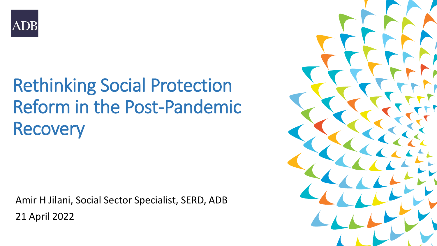

# Rethinking Social Protection Reform in the Post-Pandemic **Recovery**

Amir H Jilani, Social Sector Specialist, SERD, ADB 21 April 2022

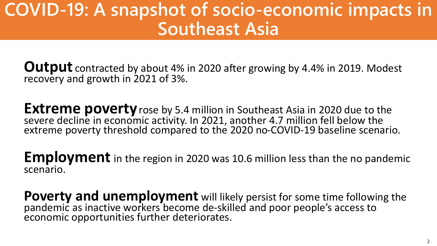# **COVID-19: A snapshot of socio-economic impacts in Southeast Asia**

**Output** contracted by about 4% in 2020 after growing by 4.4% in 2019. Modest recovery and growth in 2021 of 3%.

**Extreme poverty** rose by 5.4 million in Southeast Asia in 2020 due to the severe decline in economic activity. In 2021, another 4.7 million fell below the extreme poverty threshold compared to the 2020 no-COVID-19 baseline scenario.

**Employment** in the region in 2020 was 10.6 million less than the no pandemic scenario.

**Poverty and unemployment** will likely persist for some time following the pandemic as inactive workers become de-skilled and poor people's access to economic opportunities further deteriorates.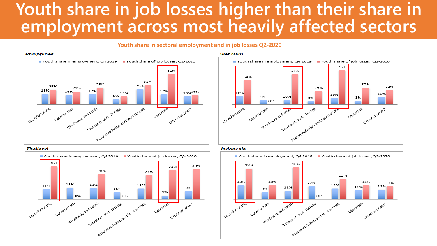## **Youth share in job losses higher than their share in employment across most heavily affected sectors**

### **Youth share in sectoral employment and in job losses Q2-2020**







#### **Viet Nam**





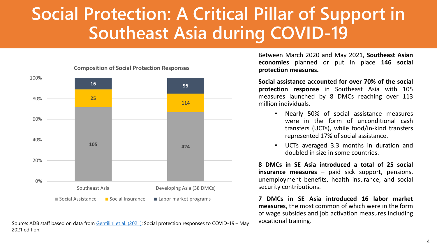# **Social Protection: A Critical Pillar of Support in Southeast Asia during COVID-19**



**Composition of Social Protection Responses**

Source: ADB staff based on data from [Gentilini et al. \(2021\)](http://documents.worldbank.org/curated/en/590531592231143435/pdf/Social-Protection-and-Jobs-Responses-to-COVID-19-A-Real-Time-Review-of-Country-Measures-June-12-2020.pdf): Social protection responses to COVID-19 – May 2021 edition.

Between March 2020 and May 2021, **Southeast Asian economies** planned or put in place **146 social protection measures.**

**Social assistance accounted for over 70% of the social protection response** in Southeast Asia with 105 measures launched by 8 DMCs reaching over 113 million individuals.

- Nearly 50% of social assistance measures were in the form of unconditional cash transfers (UCTs), while food/in-kind transfers represented 17% of social assistance.
- UCTs averaged 3.3 months in duration and doubled in size in some countries.

**8 DMCs in SE Asia introduced a total of 25 social insurance measures** – paid sick support, pensions, unemployment benefits, health insurance, and social security contributions.

**7 DMCs in SE Asia introduced 16 labor market measures**, the most common of which were in the form of wage subsides and job activation measures including vocational training.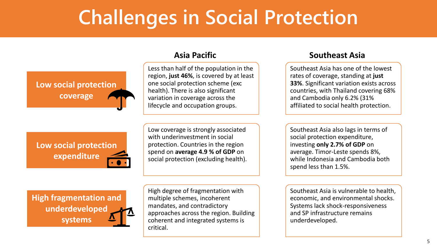# **Challenges in Social Protection**



Less than half of the population in the region, **just 46%**, is covered by at least one social protection scheme (exc health). There is also significant variation in coverage across the lifecycle and occupation groups.

Low coverage is strongly associated with underinvestment in social protection. Countries in the region spend on **average 4.9 % of GDP** on social protection (excluding health).

High degree of fragmentation with multiple schemes, incoherent mandates, and contradictory approaches across the region. Building coherent and integrated systems is critical.

### **Asia Pacific Southeast Asia**

Southeast Asia has one of the lowest rates of coverage, standing at **just 33%**. Significant variation exists across countries, with Thailand covering 68% and Cambodia only 6.2% (31% affiliated to social health protection.

Southeast Asia also lags in terms of social protection expenditure, investing **only 2.7% of GDP** on average. Timor-Leste spends 8%, while Indonesia and Cambodia both spend less than 1.5%.

Southeast Asia is vulnerable to health, economic, and environmental shocks. Systems lack shock-responsiveness and SP infrastructure remains underdeveloped.

**Low social protection expenditure**

**High fragmentation and underdeveloped systems**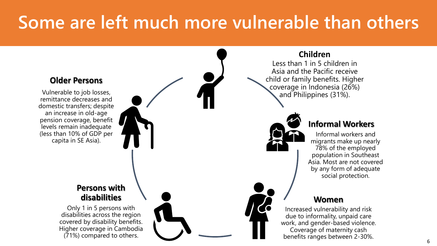# **Some are left much more vulnerable than others**

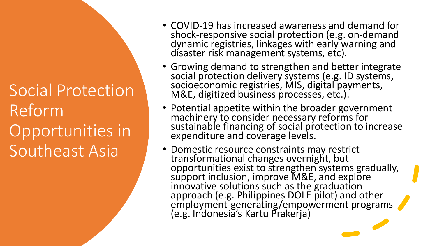Social Protection Reform Opportunities in Southeast Asia

- COVID-19 has increased awareness and demand for shock-responsive social protection (e.g. on-demand dynamic registries, linkages with early warning and disaster risk management systems, etc).
- Growing demand to strengthen and better integrate social protection delivery systems (e.g. ID systems, socioeconomic registries, MIS, digital payments, M&E, digitized business processes, etc.).
- Potential appetite within the broader government machinery to consider necessary reforms for sustainable financing of social protection to increase expenditure and coverage levels.
- Domestic resource constraints may restrict transformational changes overnight, but opportunities exist to strengthen systems gradually, support inclusion, improve M&E, and explore innovative solutions such as the graduation approach (e.g. Philippines DOLE pilot) and other employment-generating/empowerment programs (e.g. Indonesia's Kartu Prakerja)